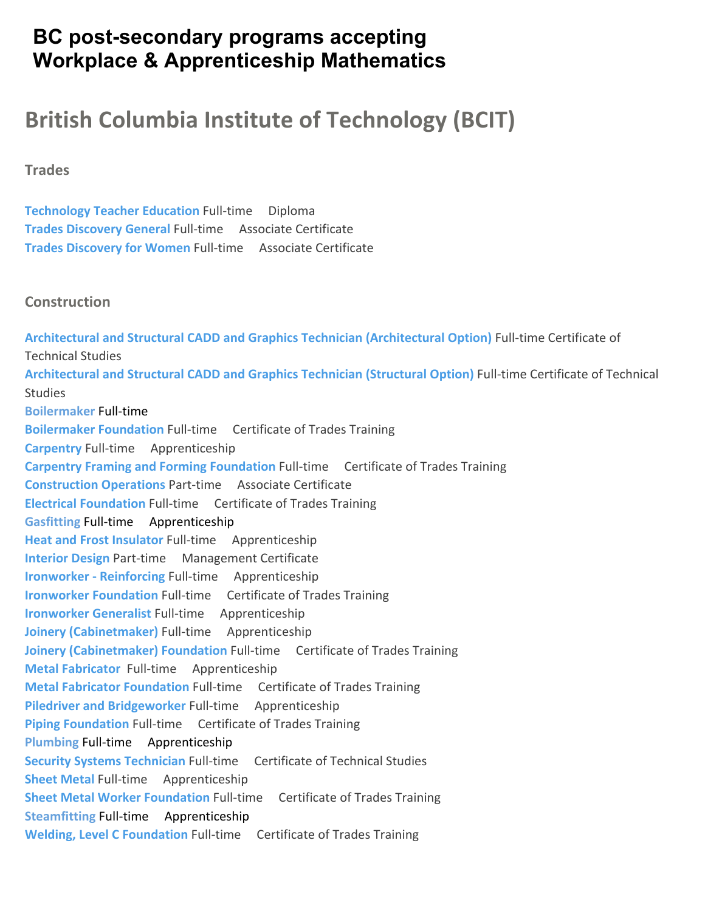# **BC post-secondary programs accepting Workplace & Apprenticeship Mathematics**

# **British Columbia Institute of Technology (BCIT)**

**Trades**

**Technology Teacher Education** Full‐time Diploma **Trades Discovery General** Full‐time Associate Certificate **Trades Discovery for Women** Full‐time Associate Certificate

#### **Construction**

**Architectural and Structural CADD and Graphics Technician (Architectural Option)** Full‐time Certificate of Technical Studies **Architectural and Structural CADD and Graphics Technician (Structural Option)** Full‐time Certificate of Technical Studies **Boilermaker** Full‐time **Boilermaker Foundation** Full‐time Certificate of Trades Training **Carpentry** Full‐time Apprenticeship **Carpentry Framing and Forming Foundation** Full‐time Certificate of Trades Training **Construction Operations** Part‐time Associate Certificate **Electrical Foundation** Full‐time Certificate of Trades Training **Gasfitting** Full‐time Apprenticeship **Heat and Frost Insulator** Full‐time Apprenticeship **Interior Design** Part‐time Management Certificate **Ironworker ‐ Reinforcing** Full‐time Apprenticeship **Ironworker Foundation** Full‐time Certificate of Trades Training **Ironworker Generalist** Full‐time Apprenticeship **Joinery (Cabinetmaker)** Full‐time Apprenticeship **Joinery (Cabinetmaker) Foundation** Full‐time Certificate of Trades Training **Metal Fabricator**  Full‐time Apprenticeship **Metal Fabricator Foundation** Full‐time Certificate of Trades Training **Piledriver and Bridgeworker Full-time Apprenticeship Piping Foundation** Full-time Certificate of Trades Training **Plumbing** Full‐time Apprenticeship **Security Systems Technician** Full‐time Certificate of Technical Studies **Sheet Metal Full-time Apprenticeship Sheet Metal Worker Foundation** Full‐time Certificate of Trades Training **Steamfitting** Full‐time Apprenticeship **Welding, Level C Foundation** Full‐time Certificate of Trades Training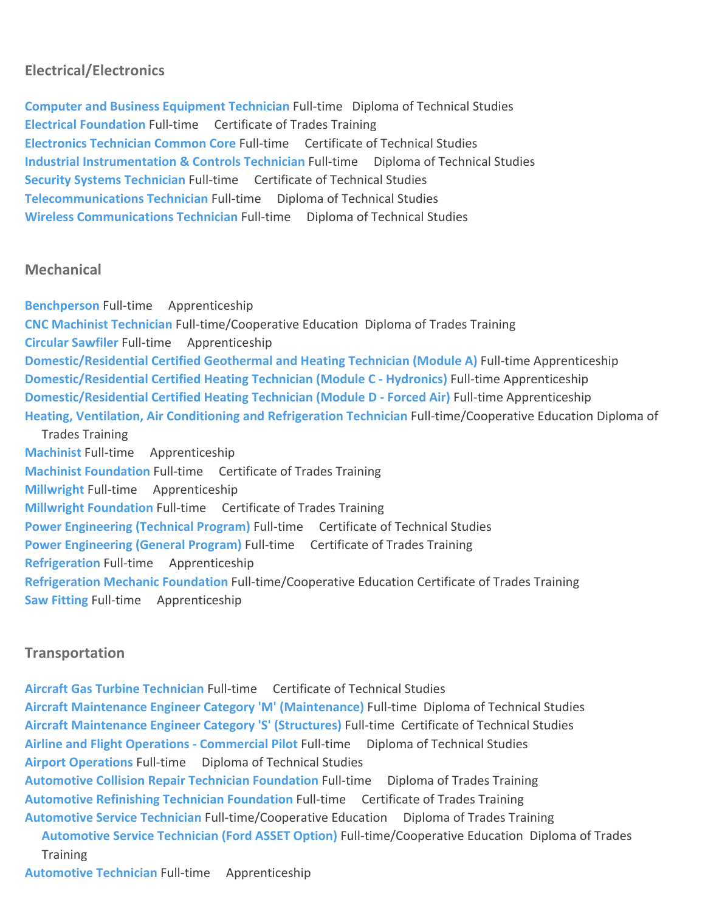## **Electrical/Electronics**

**Computer and Business Equipment Technician** Full‐time Diploma of Technical Studies **Electrical Foundation** Full‐time Certificate of Trades Training **Electronics Technician Common Core** Full‐time Certificate of Technical Studies **Industrial Instrumentation & Controls Technician** Full‐time Diploma of Technical Studies **Security Systems Technician** Full‐time Certificate of Technical Studies **Telecommunications Technician** Full‐time Diploma of Technical Studies **Wireless Communications Technician** Full‐time Diploma of Technical Studies

#### **Mechanical**

**Benchperson** Full‐time Apprenticeship **CNC Machinist Technician** Full‐time/Cooperative Education Diploma of Trades Training **Circular Sawfiler** Full‐time Apprenticeship **Domestic/Residential Certified Geothermal and Heating Technician (Module A)** Full‐time Apprenticeship **Domestic/Residential Certified Heating Technician (Module C ‐ Hydronics)** Full‐time Apprenticeship **Domestic/Residential Certified Heating Technician (Module D ‐ Forced Air)** Full‐time Apprenticeship **Heating, Ventilation, Air Conditioning and Refrigeration Technician** Full‐time/Cooperative Education Diploma of Trades Training **Machinist** Full‐time Apprenticeship **Machinist Foundation** Full‐time Certificate of Trades Training **Millwright Full-time** Apprenticeship **Millwright Foundation** Full‐time Certificate of Trades Training **Power Engineering (Technical Program)** Full‐time Certificate of Technical Studies **Power Engineering (General Program)** Full‐time Certificate of Trades Training **Refrigeration** Full‐time Apprenticeship **Refrigeration Mechanic Foundation** Full‐time/Cooperative Education Certificate of Trades Training **Saw Fitting Full-time** Apprenticeship

### **Transportation**

**Aircraft Gas Turbine Technician** Full‐time Certificate of Technical Studies **Aircraft Maintenance Engineer Category 'M' (Maintenance)** Full‐time Diploma of Technical Studies **Aircraft Maintenance Engineer Category 'S' (Structures)** Full‐time Certificate of Technical Studies **Airline and Flight Operations ‐ Commercial Pilot** Full‐time Diploma of Technical Studies **Airport Operations** Full‐time Diploma of Technical Studies **Automotive Collision Repair Technician Foundation** Full‐time Diploma of Trades Training **Automotive Refinishing Technician Foundation** Full‐time Certificate of Trades Training **Automotive Service Technician** Full‐time/Cooperative Education Diploma of Trades Training **Automotive Service Technician (Ford ASSET Option)** Full‐time/Cooperative Education Diploma of Trades **Training Automotive Technician** Full‐time Apprenticeship